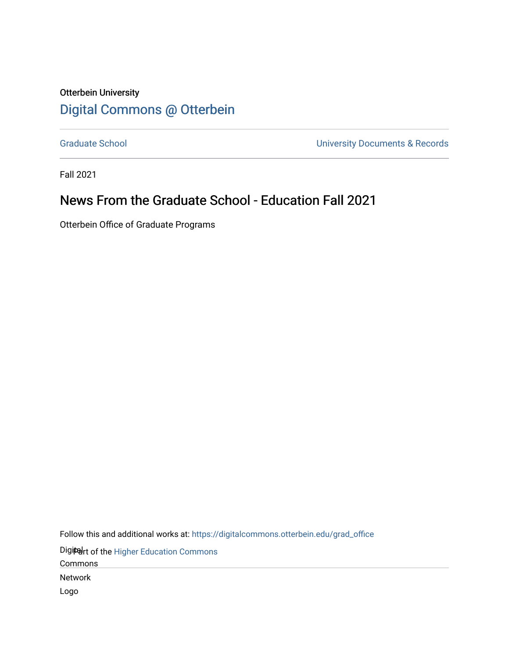#### Otterbein University [Digital Commons @ Otterbein](https://digitalcommons.otterbein.edu/)

[Graduate School](https://digitalcommons.otterbein.edu/grad_office) **Calculation** Craduate School **University Documents & Records** 

Fall 2021

#### News From the Graduate School - Education Fall 2021

Otterbein Office of Graduate Programs

Follow this and additional works at: [https://digitalcommons.otterbein.edu/grad\\_office](https://digitalcommons.otterbein.edu/grad_office?utm_source=digitalcommons.otterbein.edu%2Fgrad_office%2F62&utm_medium=PDF&utm_campaign=PDFCoverPages)

Digitert of the Higher Education Commons

Commons

Network

Logo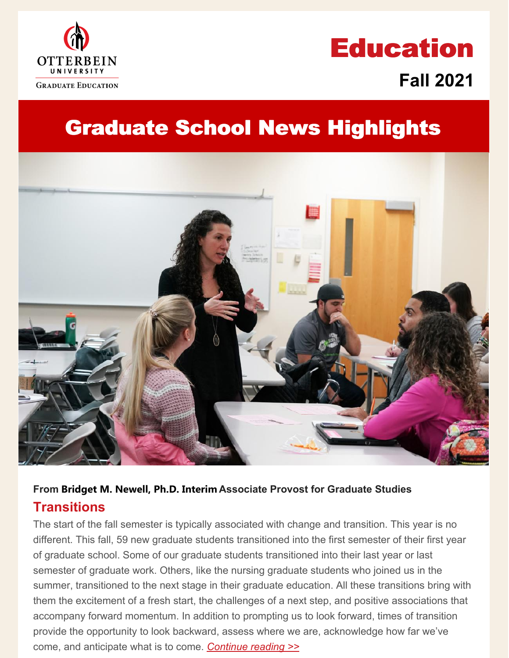

# **Education Fall 2021**

## **Graduate School News Highlights**



#### **From Bridget M. Newell, Ph.D. Interim Associate Provost for Graduate Studies Transitions**

 The start of the fall semester is typically associated with change and transition. This year is no different. This fall, 59 new graduate students transitioned into the first semester of their first year of graduate school. Some of our graduate students transitioned into their last year or last semester of graduate work. Others, like the nursing graduate students who joined us in the summer, transitioned to the next stage in their graduate education. All these transitions bring with them the excitement of a fresh start, the challenges of a next step, and positive associations that accompany forward momentum. In addition to prompting us to look forward, times of transition provide the opportunity to look backward, assess where we are, acknowledge how far we've come, and anticipate what is to come. *[Continue](https://www.otterbein.edu/news/transitions/) reading >>*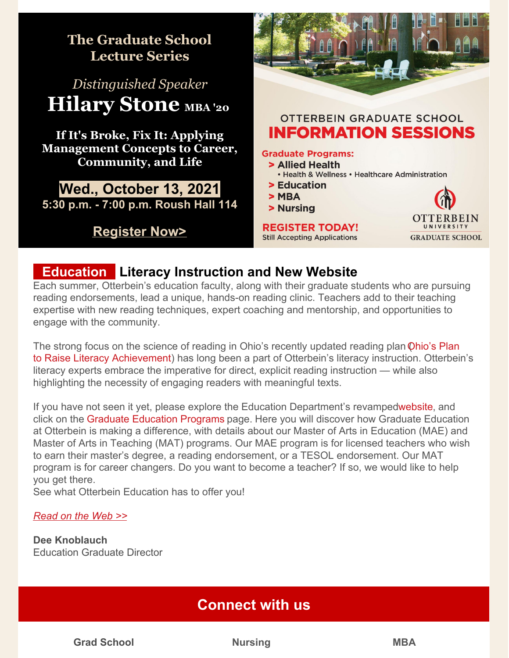

#### **12.53 Education | Literacy Instruction and New Website**

 reading endorsements, lead a unique, hands-on reading clinic. Teachers add to their teaching expertise with new reading techniques, expert coaching and mentorship, and opportunities to engage with the community. Each summer, Otterbein's education faculty, along with their graduate students who are pursuing

The strong focus on the science of reading in Ohio's recently updated reading plan *Qhio's Plan*  to Raise Literacy [Achievement\)](https://education.ohio.gov/getattachment/Topics/Learning-in-Ohio/Literacy/Ohios-Plan-to-Raise-Literacy-Achievement.pdf.aspx?lang=en-US) has long been a part of Otterbein's literacy instruction. Otterbein's literacy experts embrace the imperative for direct, explicit reading instruction — while also highlighting the necessity of engaging readers with meaningful texts.

If you have not seen it yet, please explore the Education Department's revampe[dwebsite,](https://www.otterbein.edu/education/) and click on the Graduate [Education](https://www.otterbein.edu/gradschool/education-graduate/) Programs [page.](https://www.otterbein.edu/gradschool/education-graduate/) Here you will discover how Graduate Education at Otterbein is making a difference, with details about our Master of Arts in Education (MAE) and Master of Arts in Teaching (MAT) programs. Our MAE program is for licensed teachers who wish to earn their master's degree, a reading endorsement, or a TESOL endorsement. Our MAT program is for career changers. Do you want to become a teacher? If so, we would like to help you get there.

See what Otterbein Education has to offer you!

#### *[Read](https://www.otterbein.edu/news/literacy-instruction-and-new-website/) on the Web >>*

 Education Graduate Director **Dee Knoblauch**

### **Connect with us**

**Grad School Nursing MBA**